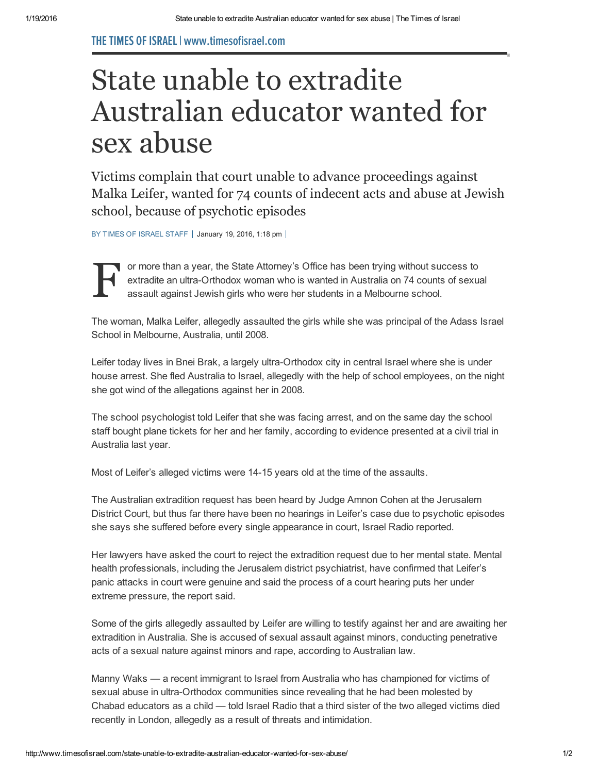## THETIMES OFISRAEL| www.timesofisrael.com

## State unable to extradite Australian educator wanted for sex abuse

Victims complain that court unable to advance proceedings against Malka Leifer, wanted for 74 counts of indecent acts and abuse at Jewish school, because of psychotic episodes

BY TIMES OF [ISRAEL](http://www.timesofisrael.com/writers/times-of-israel-staff/) STAFF | January 19, 2016, 1:18 pm |



or more than a year, the State Attorney's Office has been trying without success to extradite an ultra-Orthodox woman who is wanted in Australia on 74 counts of sexual assault against Jewish girls who were her students in a Melbourne school.

The woman, Malka Leifer, allegedly assaulted the girls while she was principal of the Adass Israel School in Melbourne, Australia, until 2008.

Leifer today lives in Bnei Brak, a largely ultra-Orthodox city in central Israel where she is under house arrest. She fled Australia to Israel, allegedly with the help of school employees, on the night she got wind of the allegations against her in 2008.

The school psychologist told Leifer that she was facing arrest, and on the same day the school staff bought plane tickets for her and her family, according to evidence presented at a civil trial in Australia last year.

Most of Leifer's alleged victims were 14-15 years old at the time of the assaults.

The Australian extradition request has been heard by Judge Amnon Cohen at the Jerusalem District Court, but thus far there have been no hearings in Leifer's case due to psychotic episodes she says she suffered before every single appearance in court, Israel Radio reported.

Her lawyers have asked the court to reject the extradition request due to her mental state. Mental health professionals, including the Jerusalem district psychiatrist, have confirmed that Leifer's panic attacks in court were genuine and said the process of a court hearing puts her under extreme pressure, the report said.

Some of the girls allegedly assaulted by Leifer are willing to testify against her and are awaiting her extradition in Australia. She is accused of sexual assault against minors, conducting penetrative acts of a sexual nature against minors and rape, according to Australian law.

Manny Waks — a recent immigrant to Israel from Australia who has championed for victims of sexual abuse in ultra-Orthodox communities since revealing that he had been molested by Chabad educators as a child — told Israel Radio that a third sister of the two alleged victims died recently in London, allegedly as a result of threats and intimidation.